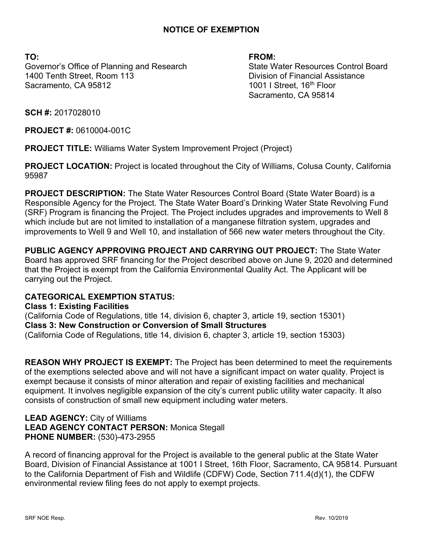## **NOTICE OF EXEMPTION**

**TO: FROM:** Governor's Office of Planning and Research State Water Resources Control Board 1400 Tenth Street, Room 113 Division of Financial Assistance Sacramento, CA 95812 1001 I Street, 16<sup>th</sup> Floor

Sacramento, CA 95814

**SCH #:** 2017028010

**PROJECT #:** 0610004-001C

**PROJECT TITLE:** Williams Water System Improvement Project (Project)

**PROJECT LOCATION:** Project is located throughout the City of Williams, Colusa County, California 95987

**PROJECT DESCRIPTION:** The State Water Resources Control Board (State Water Board) is a Responsible Agency for the Project. The State Water Board's Drinking Water State Revolving Fund (SRF) Program is financing the Project. The Project includes upgrades and improvements to Well 8 which include but are not limited to installation of a manganese filtration system, upgrades and improvements to Well 9 and Well 10, and installation of 566 new water meters throughout the City.

**PUBLIC AGENCY APPROVING PROJECT AND CARRYING OUT PROJECT:** The State Water Board has approved SRF financing for the Project described above on June 9, 2020 and determined that the Project is exempt from the California Environmental Quality Act. The Applicant will be carrying out the Project.

## **CATEGORICAL EXEMPTION STATUS:**

**Class 1: Existing Facilities** (California Code of Regulations, title 14, division 6, chapter 3, article 19, section 15301) **Class 3: New Construction or Conversion of Small Structures** (California Code of Regulations, title 14, division 6, chapter 3, article 19, section 15303)

**REASON WHY PROJECT IS EXEMPT:** The Project has been determined to meet the requirements of the exemptions selected above and will not have a significant impact on water quality. Project is exempt because it consists of minor alteration and repair of existing facilities and mechanical equipment. It involves negligible expansion of the city's current public utility water capacity. It also consists of construction of small new equipment including water meters.

## **LEAD AGENCY:** City of Williams **LEAD AGENCY CONTACT PERSON:** Monica Stegall **PHONE NUMBER:** (530)-473-2955

A record of financing approval for the Project is available to the general public at the State Water Board, Division of Financial Assistance at 1001 I Street, 16th Floor, Sacramento, CA 95814. Pursuant to the California Department of Fish and Wildlife (CDFW) Code, Section 711.4(d)(1), the CDFW environmental review filing fees do not apply to exempt projects.